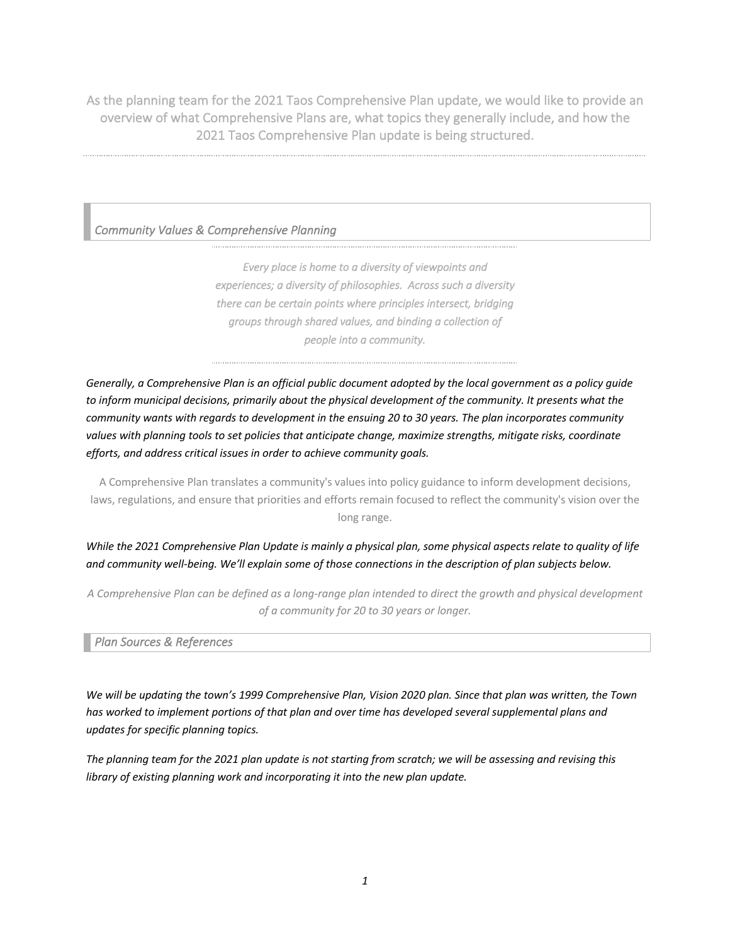As the planning team for the 2021 Taos Comprehensive Plan update, we would like to provide an overview of what Comprehensive Plans are, what topics they generally include, and how the 2021 Taos Comprehensive Plan update is being structured.

## *Community Values & Comprehensive Planning*

*Every place is home to a diversity of viewpoints and experiences; a diversity of philosophies. Across such a diversity there can be certain points where principles intersect, bridging groups through shared values, and binding a collection of people into a community.* 

*Generally, a Comprehensive Plan is an official public document adopted by the local government as a policy guide to inform municipal decisions, primarily about the physical development of the community. It presents what the community wants with regards to development in the ensuing 20 to 30 years. The plan incorporates community*  values with planning tools to set policies that anticipate change, maximize strengths, mitigate risks, coordinate *efforts, and address critical issues in order to achieve community goals.*

A Comprehensive Plan translates a community's values into policy guidance to inform development decisions, laws, regulations, and ensure that priorities and efforts remain focused to reflect the community's vision over the long range.

*While the 2021 Comprehensive Plan Update is mainly a physical plan, some physical aspects relate to quality of life and community well-being. We'll explain some of those connections in the description of plan subjects below.*

*A Comprehensive Plan can be defined as a long-range plan intended to direct the growth and physical development of a community for 20 to 30 years or longer.*

### *Plan Sources & References*

*We will be updating the town's 1999 Comprehensive Plan, Vision 2020 plan. Since that plan was written, the Town has worked to implement portions of that plan and over time has developed several supplemental plans and updates for specific planning topics.* 

*The planning team for the 2021 plan update is not starting from scratch; we will be assessing and revising this library of existing planning work and incorporating it into the new plan update.*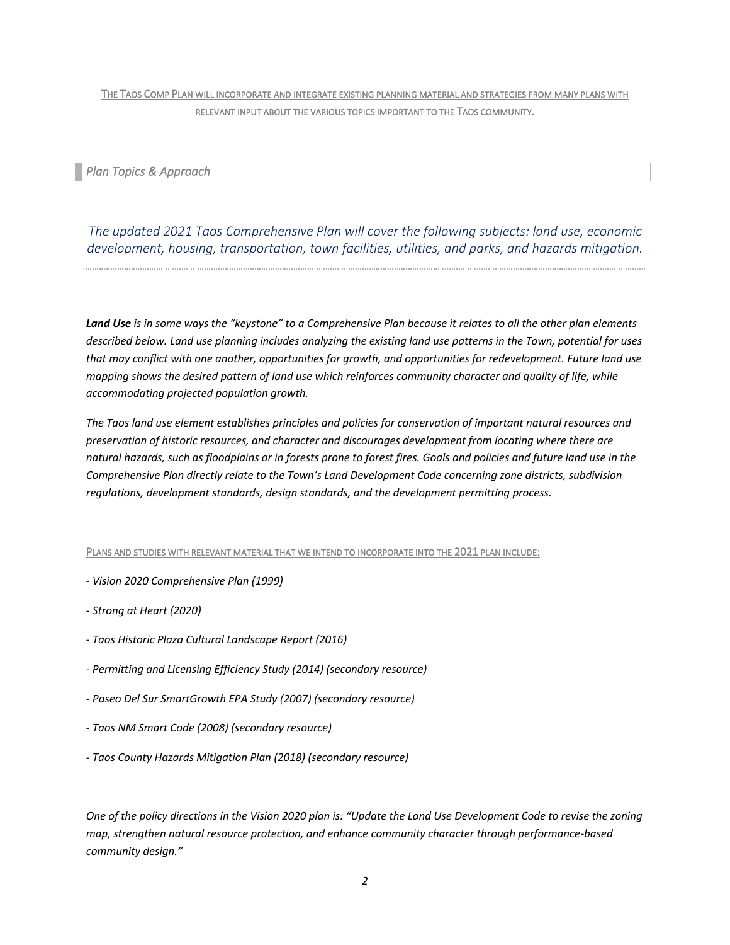THE TAOS COMP PLAN WILL INCORPORATE AND INTEGRATE EXISTING PLANNING MATERIAL AND STRATEGIES FROM MANY PLANS WITH RELEVANT INPUT ABOUT THE VARIOUS TOPICS IMPORTANT TO THE TAOS COMMUNITY.

*Plan Topics & Approach* 

*The updated 2021 Taos Comprehensive Plan will cover the following subjects: land use, economic development, housing, transportation, town facilities, utilities, and parks, and hazards mitigation.* 

*Land Use is in some ways the "keystone" to a Comprehensive Plan because it relates to all the other plan elements described below. Land use planning includes analyzing the existing land use patterns in the Town, potential for uses that may conflict with one another, opportunities for growth, and opportunities for redevelopment. Future land use mapping shows the desired pattern of land use which reinforces community character and quality of life, while accommodating projected population growth.* 

*The Taos land use element establishes principles and policies for conservation of important natural resources and preservation of historic resources, and character and discourages development from locating where there are natural hazards, such as floodplains or in forests prone to forest fires. Goals and policies and future land use in the Comprehensive Plan directly relate to the Town's Land Development Code concerning zone districts, subdivision regulations, development standards, design standards, and the development permitting process.*

PLANS AND STUDIES WITH RELEVANT MATERIAL THAT WE INTEND TO INCORPORATE INTO THE 2021 PLAN INCLUDE:

- *- Vision 2020 Comprehensive Plan (1999)*
- *- Strong at Heart (2020)*
- *- Taos Historic Plaza Cultural Landscape Report (2016)*
- *- Permitting and Licensing Efficiency Study (2014) (secondary resource)*
- *- Paseo Del Sur SmartGrowth EPA Study (2007) (secondary resource)*
- *- Taos NM Smart Code (2008) (secondary resource)*
- *- Taos County Hazards Mitigation Plan (2018) (secondary resource)*

*One of the policy directions in the Vision 2020 plan is: "Update the Land Use Development Code to revise the zoning map, strengthen natural resource protection, and enhance community character through performance-based community design."*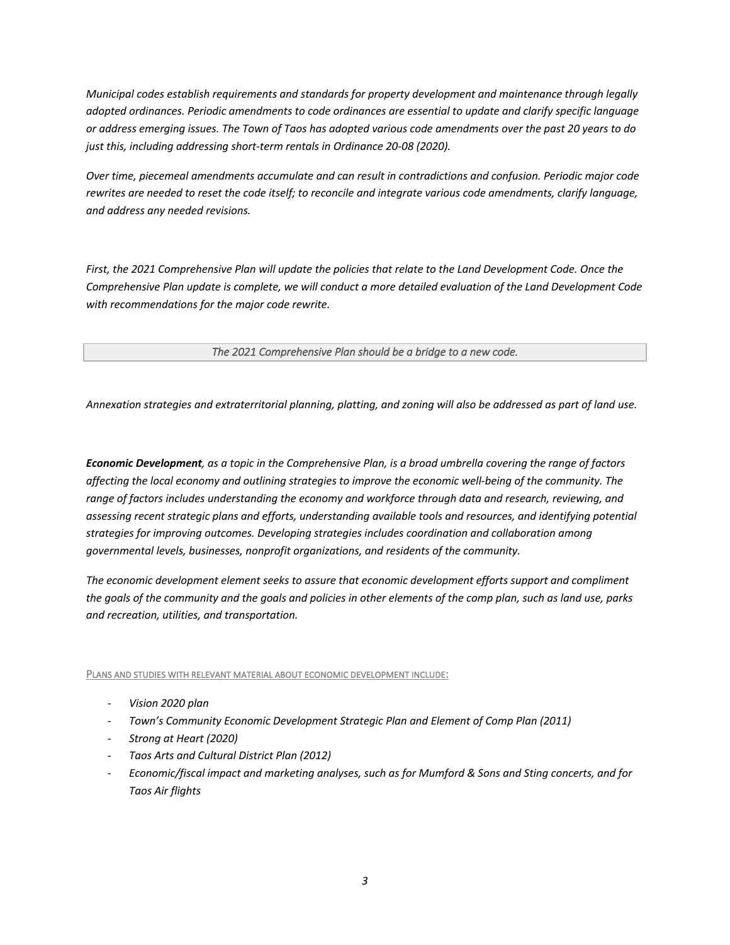*Municipal codes establish requirements and standards for property development and maintenance through legally adopted ordinances. Periodic amendments to code ordinances are essential to update and clarify specific language or address emerging issues. The Town of Taos has adopted various code amendments over the past 20 years to do just this, including addressing short-term rentals in Ordinance 20-08 (2020).* 

*Over time, piecemeal amendments accumulate and can result in contradictions and confusion. Periodic major code rewrites are needed to reset the code itself; to reconcile and integrate various code amendments, clarify language, and address any needed revisions.* 

*First, the 2021 Comprehensive Plan will update the policies that relate to the Land Development Code. Once the Comprehensive Plan update is complete, we will conduct a more detailed evaluation of the Land Development Code with recommendations for the major code rewrite.* 

*The 2021 Comprehensive Plan should be a bridge to a new code.* 

*Annexation strategies and extraterritorial planning, platting, and zoning will also be addressed as part of land use.*

*Economic Development, as a topic in the Comprehensive Plan, is a broad umbrella covering the range of factors affecting the local economy and outlining strategies to improve the economic well-being of the community. The range of factors includes understanding the economy and workforce through data and research, reviewing, and assessing recent strategic plans and efforts, understanding available tools and resources, and identifying potential strategies for improving outcomes. Developing strategies includes coordination and collaboration among governmental levels, businesses, nonprofit organizations, and residents of the community.* 

*The economic development element seeks to assure that economic development efforts support and compliment the goals of the community and the goals and policies in other elements of the comp plan, such as land use, parks and recreation, utilities, and transportation.*

PLANS AND STUDIES WITH RELEVANT MATERIAL ABOUT ECONOMIC DEVELOPMENT INCLUDE:

- *Vision 2020 plan*
- *Town's Community Economic Development Strategic Plan and Element of Comp Plan (2011)*
- *Strong at Heart (2020)*
- *Taos Arts and Cultural District Plan (2012)*
- *Economic/fiscal impact and marketing analyses, such as for Mumford & Sons and Sting concerts, and for Taos Air flights*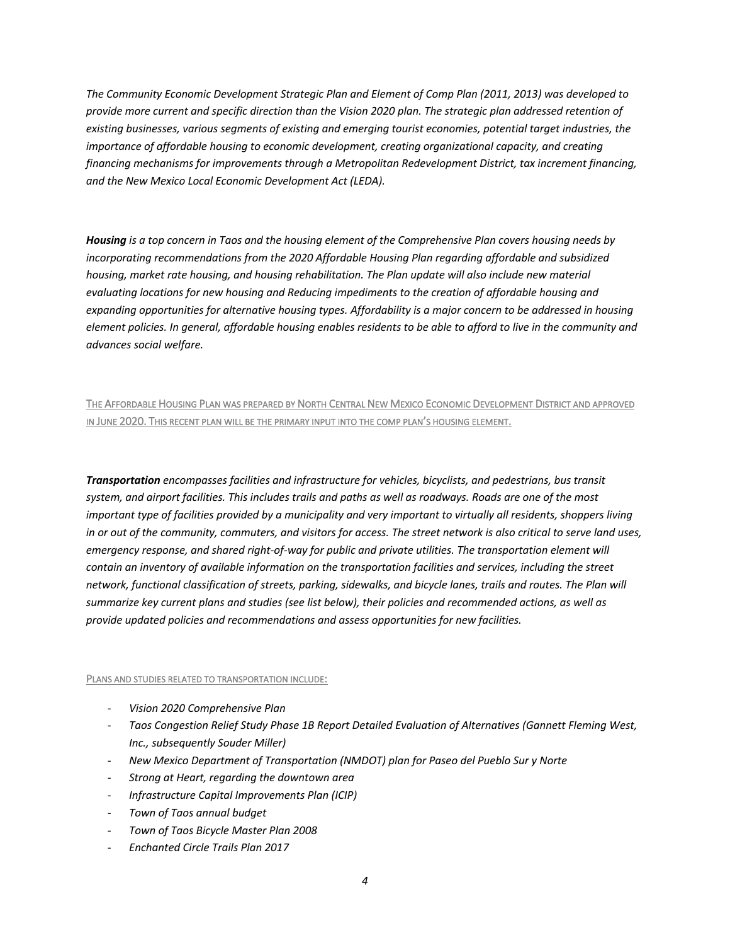*The Community Economic Development Strategic Plan and Element of Comp Plan (2011, 2013) was developed to provide more current and specific direction than the Vision 2020 plan. The strategic plan addressed retention of existing businesses, various segments of existing and emerging tourist economies, potential target industries, the importance of affordable housing to economic development, creating organizational capacity, and creating financing mechanisms for improvements through a Metropolitan Redevelopment District, tax increment financing, and the New Mexico Local Economic Development Act (LEDA).*

*Housing is a top concern in Taos and the housing element of the Comprehensive Plan covers housing needs by incorporating recommendations from the 2020 Affordable Housing Plan regarding affordable and subsidized housing, market rate housing, and housing rehabilitation. The Plan update will also include new material evaluating locations for new housing and Reducing impediments to the creation of affordable housing and expanding opportunities for alternative housing types. Affordability is a major concern to be addressed in housing element policies. In general, affordable housing enables residents to be able to afford to live in the community and advances social welfare.*

# THE AFFORDABLE HOUSING PLAN WAS PREPARED BY NORTH CENTRAL NEW MEXICO ECONOMIC DEVELOPMENT DISTRICT AND APPROVED IN JUNE 2020. THIS RECENT PLAN WILL BE THE PRIMARY INPUT INTO THE COMP PLAN'S HOUSING ELEMENT.

*Transportation encompasses facilities and infrastructure for vehicles, bicyclists, and pedestrians, bus transit system, and airport facilities. This includes trails and paths as well as roadways. Roads are one of the most important type of facilities provided by a municipality and very important to virtually all residents, shoppers living in or out of the community, commuters, and visitors for access. The street network is also critical to serve land uses, emergency response, and shared right-of-way for public and private utilities. The transportation element will contain an inventory of available information on the transportation facilities and services, including the street network, functional classification of streets, parking, sidewalks, and bicycle lanes, trails and routes. The Plan will summarize key current plans and studies (see list below), their policies and recommended actions, as well as provide updated policies and recommendations and assess opportunities for new facilities.*

#### PLANS AND STUDIES RELATED TO TRANSPORTATION INCLUDE:

- *Vision 2020 Comprehensive Plan*
- *Taos Congestion Relief Study Phase 1B Report Detailed Evaluation of Alternatives (Gannett Fleming West, Inc., subsequently Souder Miller)*
- *New Mexico Department of Transportation (NMDOT) plan for Paseo del Pueblo Sur y Norte*
- *Strong at Heart, regarding the downtown area*
- *Infrastructure Capital Improvements Plan (ICIP)*
- *Town of Taos annual budget*
- *Town of Taos Bicycle Master Plan 2008*
- *Enchanted Circle Trails Plan 2017*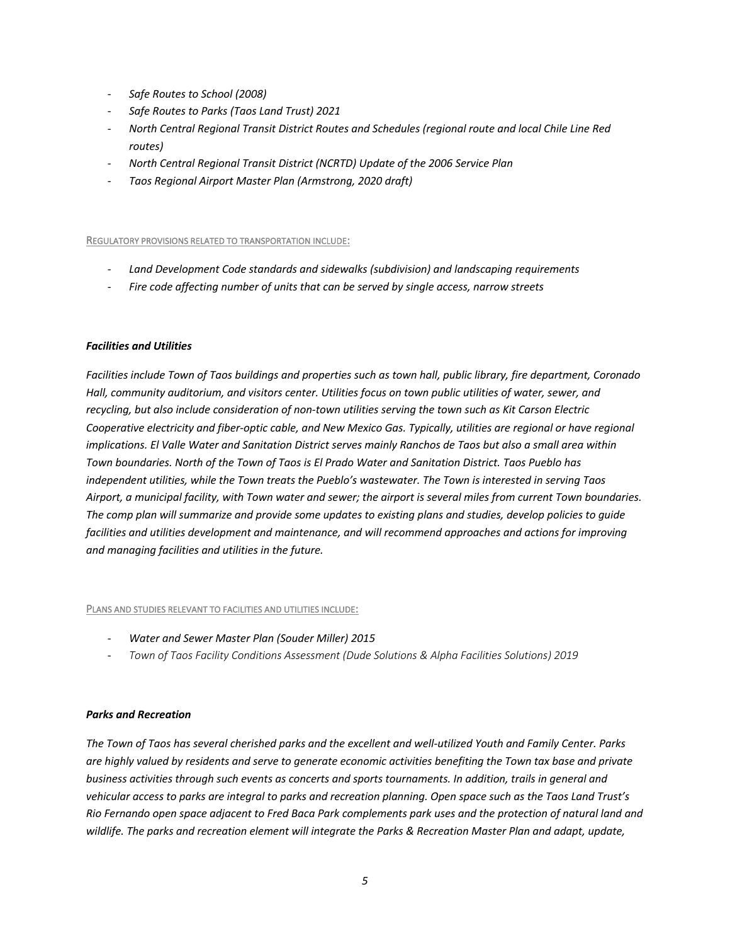- *Safe Routes to School (2008)*
- *Safe Routes to Parks (Taos Land Trust) 2021*
- *North Central Regional Transit District Routes and Schedules (regional route and local Chile Line Red routes)*
- *North Central Regional Transit District (NCRTD) Update of the 2006 Service Plan*
- *Taos Regional Airport Master Plan (Armstrong, 2020 draft)*

REGULATORY PROVISIONS RELATED TO TRANSPORTATION INCLUDE:

- *Land Development Code standards and sidewalks (subdivision) and landscaping requirements*
- *Fire code affecting number of units that can be served by single access, narrow streets*

#### *Facilities and Utilities*

*Facilities include Town of Taos buildings and properties such as town hall, public library, fire department, Coronado Hall, community auditorium, and visitors center. Utilities focus on town public utilities of water, sewer, and recycling, but also include consideration of non-town utilities serving the town such as Kit Carson Electric Cooperative electricity and fiber-optic cable, and New Mexico Gas. Typically, utilities are regional or have regional implications. El Valle Water and Sanitation District serves mainly Ranchos de Taos but also a small area within Town boundaries. North of the Town of Taos is El Prado Water and Sanitation District. Taos Pueblo has independent utilities, while the Town treats the Pueblo's wastewater. The Town is interested in serving Taos Airport, a municipal facility, with Town water and sewer; the airport is several miles from current Town boundaries. The comp plan will summarize and provide some updates to existing plans and studies, develop policies to guide facilities and utilities development and maintenance, and will recommend approaches and actions for improving and managing facilities and utilities in the future.*

#### PLANS AND STUDIES RELEVANT TO FACILITIES AND UTILITIES INCLUDE:

- *Water and Sewer Master Plan (Souder Miller) 2015*
- *Town of Taos Facility Conditions Assessment (Dude Solutions & Alpha Facilities Solutions) 2019*

#### *Parks and Recreation*

*The Town of Taos has several cherished parks and the excellent and well-utilized Youth and Family Center. Parks are highly valued by residents and serve to generate economic activities benefiting the Town tax base and private business activities through such events as concerts and sports tournaments. In addition, trails in general and vehicular access to parks are integral to parks and recreation planning. Open space such as the Taos Land Trust's Rio Fernando open space adjacent to Fred Baca Park complements park uses and the protection of natural land and wildlife. The parks and recreation element will integrate the Parks & Recreation Master Plan and adapt, update,*